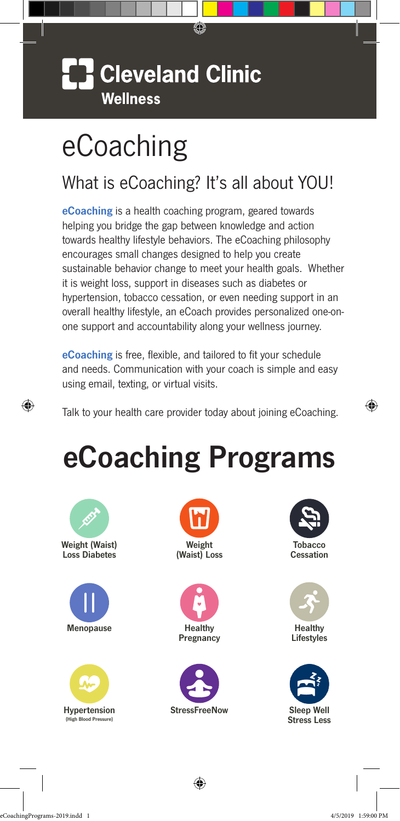### **Cleveland Clinic Wellness**

# eCoaching

### What is eCoaching? It's all about YOU!

0

eCoaching is a health coaching program, geared towards helping you bridge the gap between knowledge and action towards healthy lifestyle behaviors. The eCoaching philosophy encourages small changes designed to help you create sustainable behavior change to meet your health goals. Whether it is weight loss, support in diseases such as diabetes or hypertension, tobacco cessation, or even needing support in an overall healthy lifestyle, an eCoach provides personalized one-onone support and accountability along your wellness journey.

eCoaching is free, flexible, and tailored to fit your schedule and needs. Communication with your coach is simple and easy using email, texting, or virtual visits.

Talk to your health care provider today about joining eCoaching.

# eCoaching Programs



⊕













⊕



**Lifestyles** 



eCoachingPrograms-2019.indd 1 4/5/2019 1:59:00 PM

⊕